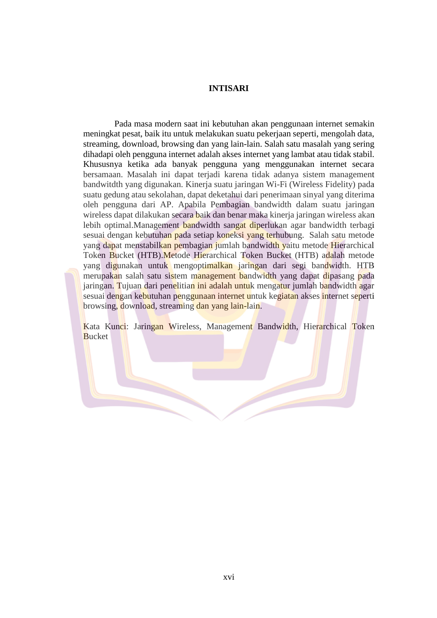## **INTISARI**

Pada masa modern saat ini kebutuhan akan penggunaan internet semakin meningkat pesat, baik itu untuk melakukan suatu pekerjaan seperti, mengolah data, streaming, download, browsing dan yang lain-lain. Salah satu masalah yang sering dihadapi oleh pengguna internet adalah akses internet yang lambat atau tidak stabil. Khususnya ketika ada banyak pengguna yang menggunakan internet secara bersamaan. Masalah ini dapat terjadi karena tidak adanya sistem management bandwitdth yang digunakan. Kinerja suatu jaringan Wi-Fi (Wireless Fidelity) pada suatu gedung atau sekolahan, dapat deketahui dari penerimaan sinyal yang diterima oleh pengguna dari AP. Apabila Pembagian bandwidth dalam suatu jaringan wireless dapat dilakukan secara baik dan benar maka kinerja jaringan wireless akan lebih optimal.Management bandwidth sangat diperlukan agar bandwidth terbagi sesuai dengan kebutuhan pada setiap koneksi yang terhubung. Salah satu metode yang dapat menstabilkan pembagian jumlah bandwidth yaitu metode Hierarchical Token Bucket (HTB).Metode Hierarchical Token Bucket (HTB) adalah metode yang digunakan untuk mengoptimalkan jaringan dari segi bandwidth. HTB merupakan salah satu sistem management bandwidth yang dapat dipasang pada jaringan. Tujuan dari penelitian ini adalah untuk mengatur jumlah bandwidth agar sesuai dengan kebutuhan penggunaan internet untuk kegiatan akses internet seperti browsing, download, streaming dan yang lain-lain.

Kata Kunci: Jaringan Wireless, Management Bandwidth, Hierarchical Token **Bucket**